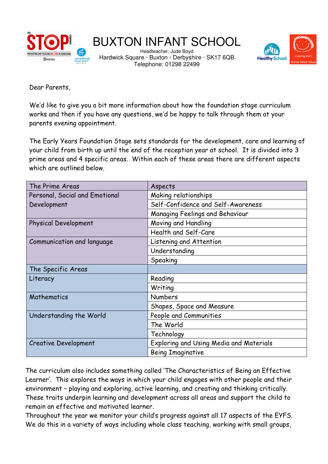

# BUXTON INFANT SCHOOL

Headteacher: Jude Boyd Hardwick Square · Buxton · Derbyshire · SK17 6QB Telephone: 01298 22499



Dear Parents,

We'd like to give you a bit more information about how the foundation stage curriculum works and then if you have any questions, we'd be happy to talk through them at your parents evening appointment.

The Early Years Foundation Stage sets standards for the development, care and learning of your child from birth up until the end of the reception year at school. It is divided into 3 prime areas and 4 specific areas. Within each of these areas there are different aspects which are outlined below.

| The Prime Areas                | Aspects                                 |
|--------------------------------|-----------------------------------------|
| Personal, Social and Emotional | Making relationships                    |
| Development                    | Self-Confidence and Self-Awareness      |
|                                | Managing Feelings and Behaviour         |
| <b>Physical Development</b>    | Moving and Handling                     |
|                                | Health and Self-Care                    |
| Communication and language     | Listening and Attention                 |
|                                | Understanding                           |
|                                | Speaking                                |
| The Specific Areas             |                                         |
| Literacy                       | Reading                                 |
|                                | Writing                                 |
| Mathematics                    | <b>Numbers</b>                          |
|                                | Shapes, Space and Measure               |
| Understanding the World        | People and Communities                  |
|                                | The World                               |
|                                | Technology                              |
| <b>Creative Development</b>    | Exploring and Using Media and Materials |
|                                | <b>Being Imaginative</b>                |

The curriculum also includes something called 'The Characteristics of Being an Effective Learner'. This explores the ways in which your child engages with other people and their environment – playing and exploring, active learning, and creating and thinking critically. These traits underpin learning and development across all areas and support the child to remain an effective and motivated learner.

Throughout the year we monitor your child's progress against all 17 aspects of the EYFS. We do this in a variety of ways including whole class teaching, working with small groups,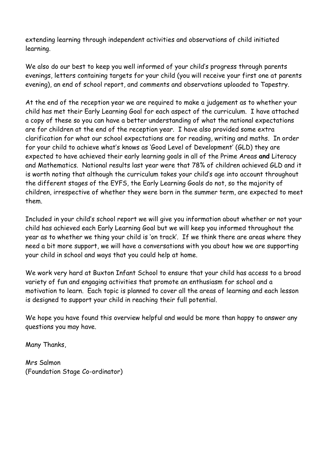extending learning through independent activities and observations of child initiated learning.

We also do our best to keep you well informed of your child's progress through parents evenings, letters containing targets for your child (you will receive your first one at parents evening), an end of school report, and comments and observations uploaded to Tapestry.

At the end of the reception year we are required to make a judgement as to whether your child has met their Early Learning Goal for each aspect of the curriculum. I have attached a copy of these so you can have a better understanding of what the national expectations are for children at the end of the reception year. I have also provided some extra clarification for what our school expectations are for reading, writing and maths. In order for your child to achieve what's knows as 'Good Level of Development' (GLD) they are expected to have achieved their early learning goals in all of the Prime Areas **and** Literacy and Mathematics. National results last year were that 78% of children achieved GLD and it is worth noting that although the curriculum takes your child's age into account throughout the different stages of the EYFS, the Early Learning Goals do not, so the majority of children, irrespective of whether they were born in the summer term, are expected to meet them.

Included in your child's school report we will give you information about whether or not your child has achieved each Early Learning Goal but we will keep you informed throughout the year as to whether we thing your child is 'on track'. If we think there are areas where they need a bit more support, we will have a conversations with you about how we are supporting your child in school and ways that you could help at home.

We work very hard at Buxton Infant School to ensure that your child has access to a broad variety of fun and engaging activities that promote an enthusiasm for school and a motivation to learn. Each topic is planned to cover all the areas of learning and each lesson is designed to support your child in reaching their full potential.

We hope you have found this overview helpful and would be more than happy to answer any questions you may have.

Many Thanks,

Mrs Salmon (Foundation Stage Co-ordinator)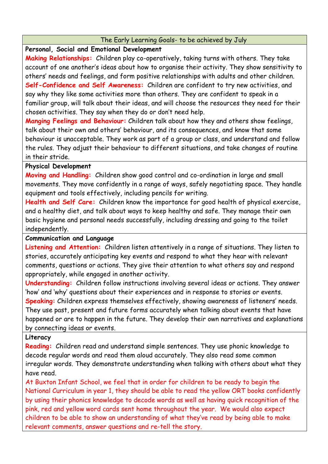## The Early Learning Goals- to be achieved by July

## **Personal, Social and Emotional Development**

**Making Relationships:** Children play co-operatively, taking turns with others. They take account of one another's ideas about how to organise their activity. They show sensitivity to others' needs and feelings, and form positive relationships with adults and other children. **Self-Confidence and Self Awareness:** Children are confident to try new activities, and say why they like some activities more than others. They are confident to speak in a familiar group, will talk about their ideas, and will choose the resources they need for their chosen activities. They say when they do or don't need help.

**Manging Feelings and Behaviour:** Children talk about how they and others show feelings, talk about their own and others' behaviour, and its consequences, and know that some behaviour is unacceptable. They work as part of a group or class, and understand and follow the rules. They adjust their behaviour to different situations, and take changes of routine in their stride.

# **Physical Development**

**Moving and Handling:** Children show good control and co-ordination in large and small movements. They move confidently in a range of ways, safely negotiating space. They handle equipment and tools effectively, including pencils for writing.

**Health and Self Care:** Children know the importance for good health of physical exercise, and a healthy diet, and talk about ways to keep healthy and safe. They manage their own basic hygiene and personal needs successfully, including dressing and going to the toilet independently.

# **Communication and Language**

**Listening and Attention:** Children listen attentively in a range of situations. They listen to stories, accurately anticipating key events and respond to what they hear with relevant comments, questions or actions. They give their attention to what others say and respond appropriately, while engaged in another activity.

**Understanding:** Children follow instructions involving several ideas or actions. They answer 'how' and 'why' questions about their experiences and in response to stories or events. **Speaking:** Children express themselves effectively, showing awareness of listeners' needs. They use past, present and future forms accurately when talking about events that have happened or are to happen in the future. They develop their own narratives and explanations by connecting ideas or events.

#### **Literacy**

**Reading:** Children read and understand simple sentences. They use phonic knowledge to decode regular words and read them aloud accurately. They also read some common irregular words. They demonstrate understanding when talking with others about what they have read.

At Buxton Infant School, we feel that in order for children to be ready to begin the National Curriculum in year 1, they should be able to read the yellow ORT books confidently by using their phonics knowledge to decode words as well as having quick recognition of the pink, red and yellow word cards sent home throughout the year. We would also expect children to be able to show an understanding of what they've read by being able to make relevant comments, answer questions and re-tell the story.